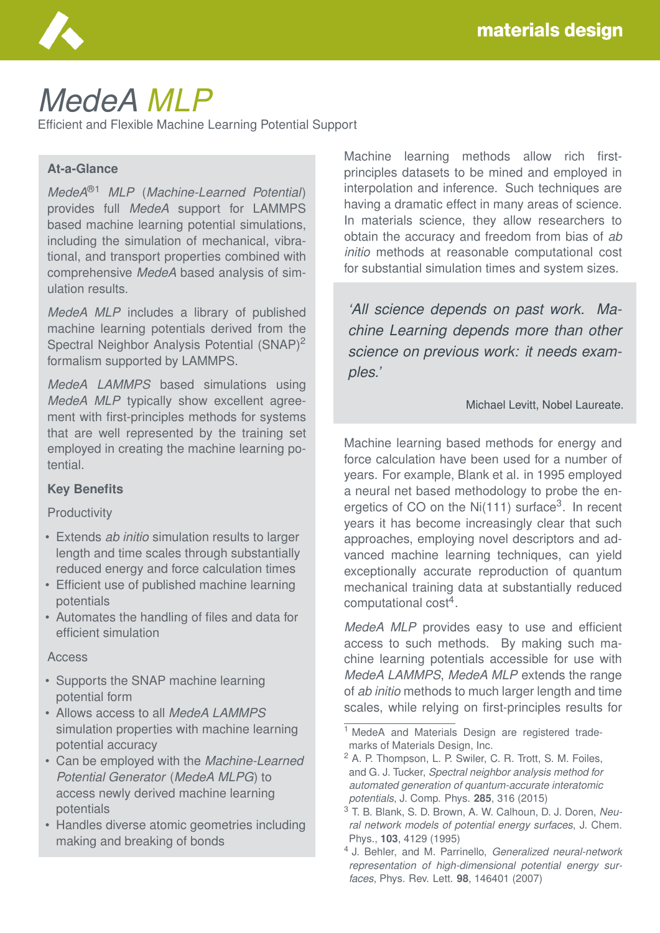

# *MedeA MLP*

Efficient and Flexible Machine Learning Potential Support

### **At-a-Glance**

*MedeA*®1 *MLP* (*Machine-Learned Potential*) provides full *MedeA* support for LAMMPS based machine learning potential simulations, including the simulation of mechanical, vibrational, and transport properties combined with comprehensive *MedeA* based analysis of simulation results.

*MedeA MLP* includes a library of published machine learning potentials derived from the Spectral Neighbor Analysis Potential (SNAP)<sup>2</sup> formalism supported by LAMMPS.

*MedeA LAMMPS* based simulations using *MedeA MLP* typically show excellent agreement with first-principles methods for systems that are well represented by the training set employed in creating the machine learning potential.

#### **Key Benefits**

#### **Productivity**

- Extends *ab initio* simulation results to larger length and time scales through substantially reduced energy and force calculation times
- Efficient use of published machine learning potentials
- Automates the handling of files and data for efficient simulation

#### **Access**

- Supports the SNAP machine learning potential form
- Allows access to all *MedeA LAMMPS* simulation properties with machine learning potential accuracy
- Can be employed with the *Machine-Learned Potential Generator* (*MedeA MLPG*) to access newly derived machine learning potentials
- Handles diverse atomic geometries including making and breaking of bonds

Machine learning methods allow rich firstprinciples datasets to be mined and employed in interpolation and inference. Such techniques are having a dramatic effect in many areas of science. In materials science, they allow researchers to obtain the accuracy and freedom from bias of *ab initio* methods at reasonable computational cost for substantial simulation times and system sizes.

*'All science depends on past work. Machine Learning depends more than other science on previous work: it needs examples.'*

#### Michael Levitt, Nobel Laureate.

Machine learning based methods for energy and force calculation have been used for a number of years. For example, Blank et al. in 1995 employed a neural net based methodology to probe the energetics of CO on the Ni(111) surface<sup>3</sup>. In recent years it has become increasingly clear that such approaches, employing novel descriptors and advanced machine learning techniques, can yield exceptionally accurate reproduction of quantum mechanical training data at substantially reduced computational cost<sup>4</sup>.

*MedeA MLP* provides easy to use and efficient access to such methods. By making such machine learning potentials accessible for use with *MedeA LAMMPS*, *MedeA MLP* extends the range of *ab initio* methods to much larger length and time scales, while relying on first-principles results for

<sup>&</sup>lt;sup>1</sup> MedeA and Materials Design are registered trademarks of Materials Design, Inc.

<sup>2</sup> A. P. Thompson, L. P. Swiler, C. R. Trott, S. M. Foiles, and G. J. Tucker, *Spectral neighbor analysis method for automated generation of quantum-accurate interatomic potentials*, J. Comp. Phys. **285**, 316 (2015)

<sup>3</sup> T. B. Blank, S. D. Brown, A. W. Calhoun, D. J. Doren, *Neural network models of potential energy surfaces*, J. Chem. Phys., **103**, 4129 (1995)

<sup>4</sup> J. Behler, and M. Parrinello, *Generalized neural-network representation of high-dimensional potential energy surfaces*, Phys. Rev. Lett. **98**, 146401 (2007)